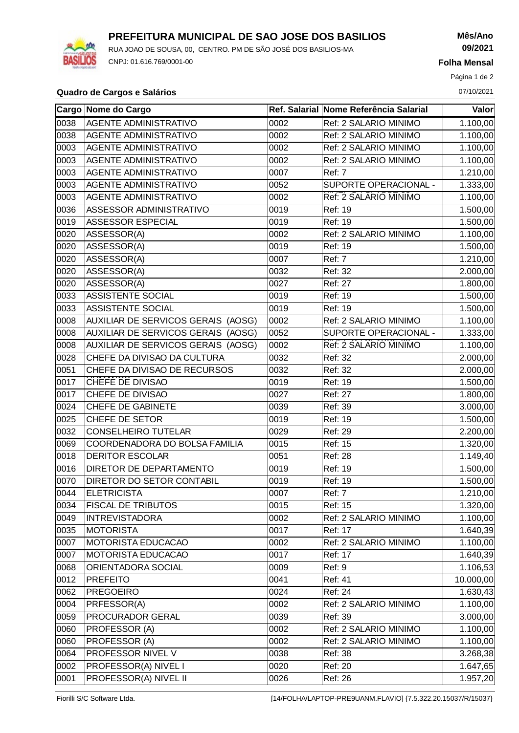

## **PREFEITURA MUNICIPAL DE SAO JOSE DOS BASILIOS**

RUA JOAO DE SOUSA, 00, CENTRO. PM DE SÃO JOSÉ DOS BASILIOS-MA CNPJ: 01.616.769/0001-00

**Mês/Ano 09/2021**

**Folha Mensal**

Página 1 de 2

## **Quadro de Cargos e Salários** 07/10/2021

|                | Cargo Nome do Cargo                |      | Ref. Salarial Nome Referência Salarial | Valor     |
|----------------|------------------------------------|------|----------------------------------------|-----------|
| 0038           | <b>AGENTE ADMINISTRATIVO</b>       | 0002 | Ref: 2 SALARIO MINIMO                  | 1.100,00  |
| 0038           | AGENTE ADMINISTRATIVO              | 0002 | Ref: 2 SALARIO MINIMO                  | 1.100,00  |
| 0003           | AGENTE ADMINISTRATIVO              | 0002 | Ref: 2 SALARIO MINIMO                  | 1.100,00  |
| 0003           | AGENTE ADMINISTRATIVO              | 0002 | Ref: 2 SALARIO MINIMO                  | 1.100,00  |
| 0003           | AGENTE ADMINISTRATIVO              | 0007 | Ref: 7                                 | 1.210,00  |
| 0003           | AGENTE ADMINISTRATIVO              | 0052 | SUPORTE OPERACIONAL -                  | 1.333,00  |
| 0003           | AGENTE ADMINISTRATIVO              | 0002 | Ref: 2 SALARIO MINIMO                  | 1.100,00  |
| 0036           | ASSESSOR ADMINISTRATIVO            | 0019 | Ref: 19                                | 1.500,00  |
| 0019           | <b>ASSESSOR ESPECIAL</b>           | 0019 | Ref: 19                                | 1.500,00  |
| 0020           | ASSESSOR(A)                        | 0002 | Ref: 2 SALARIO MINIMO                  | 1.100,00  |
| 0020           | ASSESSOR(A)                        | 0019 | Ref: 19                                | 1.500,00  |
| 0020           | ASSESSOR(A)                        | 0007 | Ref: 7                                 | 1.210,00  |
| 0020           | ASSESSOR(A)                        | 0032 | Ref: 32                                | 2.000,00  |
| 0020           | ASSESSOR(A)                        | 0027 | Ref: 27                                | 1.800,00  |
| 0033           | <b>ASSISTENTE SOCIAL</b>           | 0019 | Ref: 19                                | 1.500,00  |
| 0033           | <b>ASSISTENTE SOCIAL</b>           | 0019 | Ref: 19                                | 1.500,00  |
| 0008           | AUXILIAR DE SERVICOS GERAIS (AOSG) | 0002 | Ref: 2 SALARIO MINIMO                  | 1.100,00  |
| 0008           | AUXILIAR DE SERVICOS GERAIS (AOSG) | 0052 | SUPORTE OPERACIONAL -                  | 1.333,00  |
| 0008           | AUXILIAR DE SERVICOS GERAIS (AOSG) | 0002 | Ref: 2 SALARIO MINIMO                  | 1.100,00  |
| 0028           | CHEFE DA DIVISAO DA CULTURA        | 0032 | Ref: 32                                | 2.000,00  |
| 0051           | CHEFE DA DIVISAO DE RECURSOS       | 0032 | Ref: 32                                | 2.000,00  |
| 0017           | CHEFE DE DIVISAO                   | 0019 | Ref: 19                                | 1.500,00  |
| 0017           | CHEFE DE DIVISAO                   | 0027 | <b>Ref: 27</b>                         | 1.800,00  |
| 0024           | CHEFE DE GABINETE                  | 0039 | Ref: 39                                | 3.000,00  |
| 0025           | CHEFE DE SETOR                     | 0019 | Ref: 19                                | 1.500,00  |
| 0032           | <b>CONSELHEIRO TUTELAR</b>         | 0029 | <b>Ref: 29</b>                         | 2.200,00  |
| 0069           | COORDENADORA DO BOLSA FAMILIA      | 0015 | Ref: 15                                | 1.320,00  |
| 0018           | <b>DERITOR ESCOLAR</b>             | 0051 | <b>Ref: 28</b>                         | 1.149,40  |
| 0016           | <b>DIRETOR DE DEPARTAMENTO</b>     | 0019 | Ref: 19                                | 1.500,00  |
| 0070           | DIRETOR DO SETOR CONTABIL          | 0019 | Ref: 19                                | 1.500,00  |
| $ 0044\rangle$ | <b>ELETRICISTA</b>                 | 0007 | Ref: 7                                 | 1.210,00  |
| 0034           | <b>FISCAL DE TRIBUTOS</b>          | 0015 | Ref: 15                                | 1.320,00  |
| 0049           | <b>INTREVISTADORA</b>              | 0002 | Ref: 2 SALARIO MINIMO                  | 1.100,00  |
| $ 0035\rangle$ | <b>MOTORISTA</b>                   | 0017 | Ref: 17                                | 1.640,39  |
| 0007           | <b>MOTORISTA EDUCACAO</b>          | 0002 | Ref: 2 SALARIO MINIMO                  | 1.100,00  |
| 0007           | <b>MOTORISTA EDUCACAO</b>          | 0017 | Ref: 17                                | 1.640,39  |
| 0068           | ORIENTADORA SOCIAL                 | 0009 | Ref: 9                                 | 1.106,53  |
| 0012           | <b>PREFEITO</b>                    | 0041 | Ref: 41                                | 10.000,00 |
| 0062           | <b>PREGOEIRO</b>                   | 0024 | Ref: 24                                | 1.630,43  |
| 0004           | PRFESSOR(A)                        | 0002 | Ref: 2 SALARIO MINIMO                  | 1.100,00  |
| 0059           | PROCURADOR GERAL                   | 0039 | Ref: 39                                | 3.000,00  |
| 0060           | PROFESSOR (A)                      | 0002 | Ref: 2 SALARIO MINIMO                  | 1.100,00  |
| 0060           | PROFESSOR (A)                      | 0002 | Ref: 2 SALARIO MINIMO                  | 1.100,00  |
| 0064           | PROFESSOR NIVEL V                  | 0038 | Ref: 38                                | 3.268,38  |
| 0002           | <b>PROFESSOR(A) NIVEL I</b>        | 0020 | <b>Ref: 20</b>                         | 1.647,65  |
| 0001           | PROFESSOR(A) NIVEL II              | 0026 | <b>Ref: 26</b>                         | 1.957,20  |

Fiorilli S/C Software Ltda. [14/FOLHA/LAPTOP-PRE9UANM.FLAVIO] {7.5.322.20.15037/R/15037}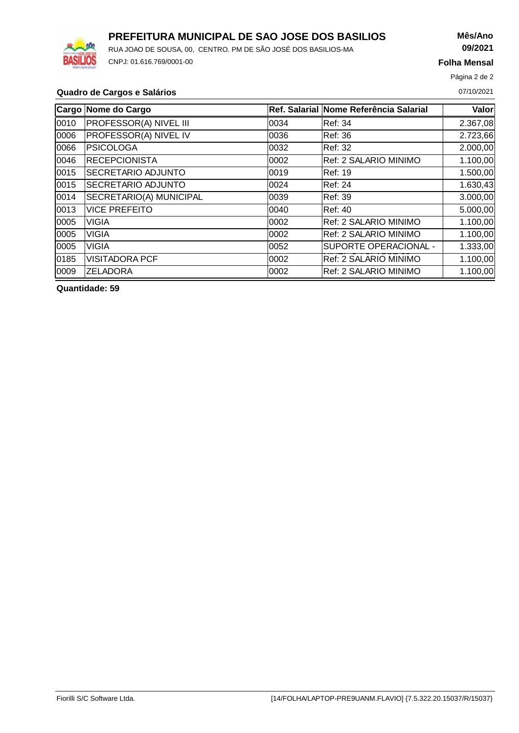

# **PREFEITURA MUNICIPAL DE SAO JOSE DOS BASILIOS**

RUA JOAO DE SOUSA, 00, CENTRO. PM DE SÃO JOSÉ DOS BASILIOS-MA CNPJ: 01.616.769/0001-00

# **Mês/Ano 09/2021**

**Folha Mensal**

Página 2 de 2

#### **Quadro de Cargos e Salários** 07/10/2021

|       | Cargo Nome do Cargo           |       | Ref. Salarial Nome Referência Salarial | <b>Valor</b> |
|-------|-------------------------------|-------|----------------------------------------|--------------|
| 0010  | <b>PROFESSOR(A) NIVEL III</b> | 10034 | Ref: 34                                | 2.367,08     |
| 0006  | PROFESSOR(A) NIVEL IV         | 10036 | Ref: 36                                | 2.723,66     |
| 0066  | <b>PSICOLOGA</b>              | 10032 | Ref: 32                                | 2.000,00     |
| 0046  | <b>RECEPCIONISTA</b>          | 10002 | Ref: 2 SALARIO MINIMO                  | 1.100,00     |
| 0015  | SECRETARIO ADJUNTO            | 0019  | Ref: 19                                | 1.500,00     |
| 0015  | <b>SECRETARIO ADJUNTO</b>     | 0024  | Ref: 24                                | 1.630,43     |
| 0014  | SECRETARIO(A) MUNICIPAL       | 10039 | Ref: 39                                | 3.000,00     |
| 0013  | <b>VICE PREFEITO</b>          | 10040 | IRef: 40                               | 5.000,00     |
| 0005  | <b>VIGIA</b>                  | 10002 | Ref: 2 SALARIO MINIMO                  | 1.100,00     |
| 0005  | <b>VIGIA</b>                  | 10002 | Ref: 2 SALARIO MINIMO                  | 1.100,00     |
| 0005  | <b>VIGIA</b>                  | 0052  | SUPORTE OPERACIONAL -                  | 1.333,00     |
| 0185  | <b>VISITADORA PCF</b>         | 10002 | Ref: 2 SALARIO MINIMO                  | 1.100,00     |
| 10009 | <b>ZELADORA</b>               | 0002  | Ref: 2 SALARIO MINIMO                  | 1.100,00     |

**Quantidade: 59**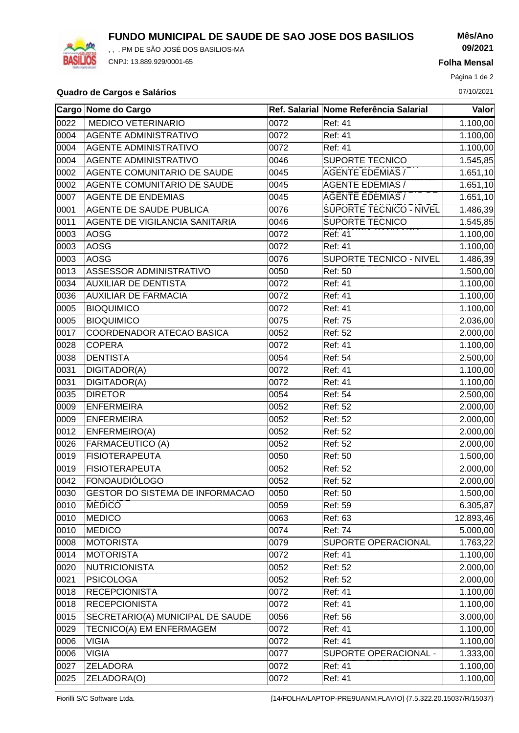**FUNDO MUNICIPAL DE SAUDE DE SAO JOSE DOS BASILIOS**



, , . PM DE SÃO JOSÉ DOS BASILIOS-MA CNPJ: 13.889.929/0001-65

**Mês/Ano 09/2021**

**Folha Mensal**

Página 1 de 2

#### **Quadro de Cargos e Salários** 07/10/2021

|      | Cargo Nome do Cargo                    |      | Ref. Salarial Nome Referência Salarial | Valor     |
|------|----------------------------------------|------|----------------------------------------|-----------|
| 0022 | <b>MEDICO VETERINARIO</b>              | 0072 | Ref: 41                                | 1.100,00  |
| 0004 | <b>AGENTE ADMINISTRATIVO</b>           | 0072 | <b>Ref: 41</b>                         | 1.100,00  |
| 0004 | <b>AGENTE ADMINISTRATIVO</b>           | 0072 | Ref: 41                                | 1.100,00  |
| 0004 | <b>AGENTE ADMINISTRATIVO</b>           | 0046 | <b>SUPORTE TECNICO</b>                 | 1.545,85  |
| 0002 | AGENTE COMUNITARIO DE SAUDE            | 0045 | <b>AGENTE EDEMIAS</b> /                | 1.651, 10 |
| 0002 | AGENTE COMUNITARIO DE SAUDE            | 0045 | <b>AGENTE EDEMIAS/</b>                 | 1.651,10  |
| 0007 | <b>AGENTE DE ENDEMIAS</b>              | 0045 | <b>AGENTE EDEMIAS</b> /                | 1.651,10  |
| 0001 | AGENTE DE SAUDE PUBLICA                | 0076 | <b>SUPORTE TECNICO - NIVEL</b>         | 1.486,39  |
| 0011 | AGENTE DE VIGILANCIA SANITARIA         | 0046 | <b>SUPORTE TECNICO</b>                 | 1.545,85  |
| 0003 | <b>AOSG</b>                            | 0072 | Ref: 41                                | 1.100,00  |
| 0003 | <b>AOSG</b>                            | 0072 | Ref: 41                                | 1.100,00  |
| 0003 | <b>AOSG</b>                            | 0076 | SUPORTE TECNICO - NIVEL                | 1.486,39  |
| 0013 | ASSESSOR ADMINISTRATIVO                | 0050 | Ref: 50                                | 1.500,00  |
| 0034 | <b>AUXILIAR DE DENTISTA</b>            | 0072 | Ref: 41                                | 1.100,00  |
| 0036 | <b>AUXILIAR DE FARMACIA</b>            | 0072 | Ref: 41                                | 1.100,00  |
| 0005 | <b>BIOQUIMICO</b>                      | 0072 | <b>Ref: 41</b>                         | 1.100,00  |
| 0005 | <b>BIOQUIMICO</b>                      | 0075 | <b>Ref: 75</b>                         | 2.036,00  |
| 0017 | COORDENADOR ATECAO BASICA              | 0052 | Ref: 52                                | 2.000,00  |
| 0028 | <b>COPERA</b>                          | 0072 | <b>Ref: 41</b>                         | 1.100,00  |
| 0038 | <b>DENTISTA</b>                        | 0054 | Ref: 54                                | 2.500,00  |
| 0031 | DIGITADOR(A)                           | 0072 | Ref: 41                                | 1.100,00  |
| 0031 | DIGITADOR(A)                           | 0072 | Ref: 41                                | 1.100,00  |
| 0035 | <b>DIRETOR</b>                         | 0054 | Ref: 54                                | 2.500,00  |
| 0009 | <b>ENFERMEIRA</b>                      | 0052 | Ref: 52                                | 2.000,00  |
| 0009 | <b>ENFERMEIRA</b>                      | 0052 | Ref: 52                                | 2.000,00  |
| 0012 | ENFERMEIRO(A)                          | 0052 | Ref: 52                                | 2.000,00  |
| 0026 | <b>FARMACEUTICO (A)</b>                | 0052 | <b>Ref: 52</b>                         | 2.000,00  |
| 0019 | <b>FISIOTERAPEUTA</b>                  | 0050 | Ref: 50                                | 1.500,00  |
| 0019 | <b>FISIOTERAPEUTA</b>                  | 0052 | Ref: 52                                | 2.000,00  |
| 0042 | <b>FONOAUDIÓLOGO</b>                   | 0052 | Ref: 52                                | 2.000,00  |
| 0030 | <b>GESTOR DO SISTEMA DE INFORMACAO</b> | 0050 | Ref: 50                                | 1.500,00  |
| 0010 | <b>MEDICO</b>                          | 0059 | Ref: 59                                | 6.305,87  |
| 0010 | MEDICO                                 | 0063 | <b>Ref: 63</b>                         | 12.893,46 |
| 0010 | MEDICO                                 | 0074 | Ref: 74                                | 5.000,00  |
| 0008 | MOTORISTA                              | 0079 | SUPORTE OPERACIONAL                    | 1.763,22  |
| 0014 | MOTORISTA                              | 0072 | Ref: 41                                | 1.100,00  |
| 0020 | <b>NUTRICIONISTA</b>                   | 0052 | Ref: 52                                | 2.000,00  |
| 0021 | <b>PSICOLOGA</b>                       | 0052 | Ref: 52                                | 2.000,00  |
| 0018 | <b>RECEPCIONISTA</b>                   | 0072 | Ref: 41                                | 1.100,00  |
| 0018 | <b>RECEPCIONISTA</b>                   | 0072 | Ref: 41                                | 1.100,00  |
| 0015 | SECRETARIO(A) MUNICIPAL DE SAUDE       | 0056 | <b>Ref: 56</b>                         | 3.000,00  |
| 0029 | TECNICO(A) EM ENFERMAGEM               | 0072 | Ref: 41                                | 1.100,00  |
| 0006 | <b>VIGIA</b>                           | 0072 | Ref: 41                                | 1.100,00  |
| 0006 | <b>VIGIA</b>                           | 0077 | SUPORTE OPERACIONAL -                  | 1.333,00  |
| 0027 | <b>ZELADORA</b>                        | 0072 | Ref: 41                                | 1.100,00  |
| 0025 | ZELADORA(O)                            | 0072 | Ref: 41                                | 1.100,00  |

Fiorilli S/C Software Ltda. [14/FOLHA/LAPTOP-PRE9UANM.FLAVIO] {7.5.322.20.15037/R/15037}